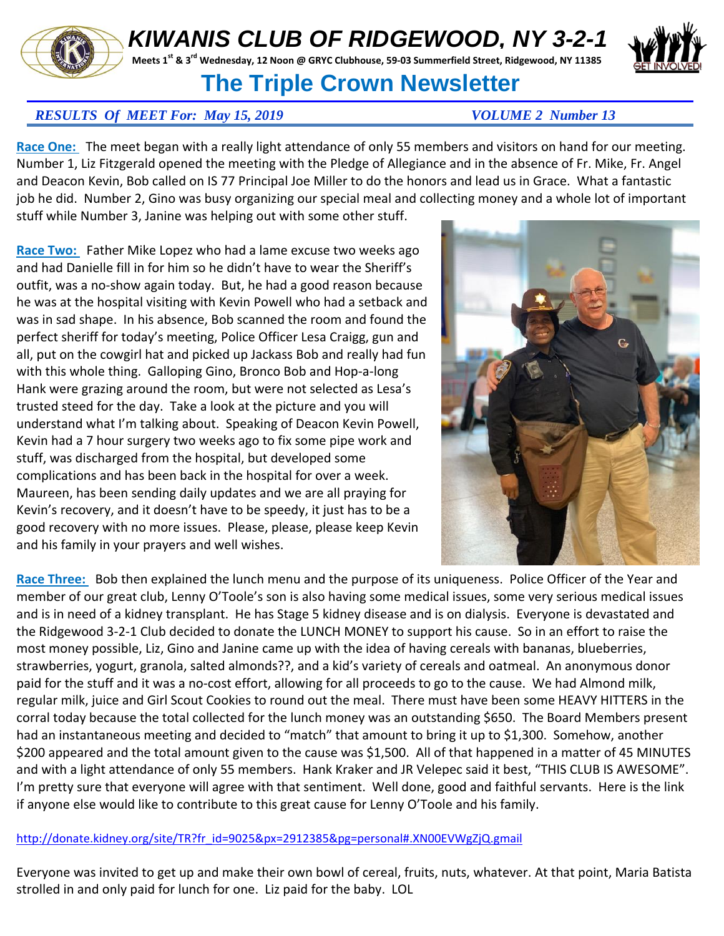## *KIWANIS CLUB OF RIDGEWOOD, NY 3-2-1*

**Meets 1st & 3rd Wednesday, 12 Noon @ GRYC Clubhouse, 59-03 Summerfield Street, Ridgewood, NY 11385** 

## **The Triple Crown Newsletter**

## *RESULTS Of MEET For: May 15, 2019 VOLUME 2 Number 13*

**Race One:** The meet began with a really light attendance of only 55 members and visitors on hand for our meeting. Number 1, Liz Fitzgerald opened the meeting with the Pledge of Allegiance and in the absence of Fr. Mike, Fr. Angel and Deacon Kevin, Bob called on IS 77 Principal Joe Miller to do the honors and lead us in Grace. What a fantastic job he did. Number 2, Gino was busy organizing our special meal and collecting money and a whole lot of important

stuff while Number 3, Janine was helping out with some other stuff.

**Race Two:** Father Mike Lopez who had a lame excuse two weeks ago and had Danielle fill in for him so he didn't have to wear the Sheriff's outfit, was a no-show again today. But, he had a good reason because he was at the hospital visiting with Kevin Powell who had a setback and was in sad shape. In his absence, Bob scanned the room and found the perfect sheriff for today's meeting, Police Officer Lesa Craigg, gun and all, put on the cowgirl hat and picked up Jackass Bob and really had fun with this whole thing. Galloping Gino, Bronco Bob and Hop-a-long Hank were grazing around the room, but were not selected as Lesa's trusted steed for the day. Take a look at the picture and you will understand what I'm talking about. Speaking of Deacon Kevin Powell, Kevin had a 7 hour surgery two weeks ago to fix some pipe work and stuff, was discharged from the hospital, but developed some complications and has been back in the hospital for over a week. Maureen, has been sending daily updates and we are all praying for Kevin's recovery, and it doesn't have to be speedy, it just has to be a good recovery with no more issues. Please, please, please keep Kevin and his family in your prayers and well wishes.



**Race Three:** Bob then explained the lunch menu and the purpose of its uniqueness. Police Officer of the Year and member of our great club, Lenny O'Toole's son is also having some medical issues, some very serious medical issues and is in need of a kidney transplant. He has Stage 5 kidney disease and is on dialysis. Everyone is devastated and the Ridgewood 3-2-1 Club decided to donate the LUNCH MONEY to support his cause. So in an effort to raise the most money possible, Liz, Gino and Janine came up with the idea of having cereals with bananas, blueberries, strawberries, yogurt, granola, salted almonds??, and a kid's variety of cereals and oatmeal. An anonymous donor paid for the stuff and it was a no-cost effort, allowing for all proceeds to go to the cause. We had Almond milk, regular milk, juice and Girl Scout Cookies to round out the meal. There must have been some HEAVY HITTERS in the corral today because the total collected for the lunch money was an outstanding \$650. The Board Members present had an instantaneous meeting and decided to "match" that amount to bring it up to \$1,300. Somehow, another \$200 appeared and the total amount given to the cause was \$1,500. All of that happened in a matter of 45 MINUTES and with a light attendance of only 55 members. Hank Kraker and JR Velepec said it best, "THIS CLUB IS AWESOME". I'm pretty sure that everyone will agree with that sentiment. Well done, good and faithful servants. Here is the link if anyone else would like to contribute to this great cause for Lenny O'Toole and his family.

[http://donate.kidney.org/site/TR?fr\\_id=9025&px=2912385&pg=personal#.XN00EVWgZjQ.gmail](http://donate.kidney.org/site/TR?fr_id=9025&px=2912385&pg=personal#.XN00EVWgZjQ.gmail)

Everyone was invited to get up and make their own bowl of cereal, fruits, nuts, whatever. At that point, Maria Batista strolled in and only paid for lunch for one. Liz paid for the baby. LOL



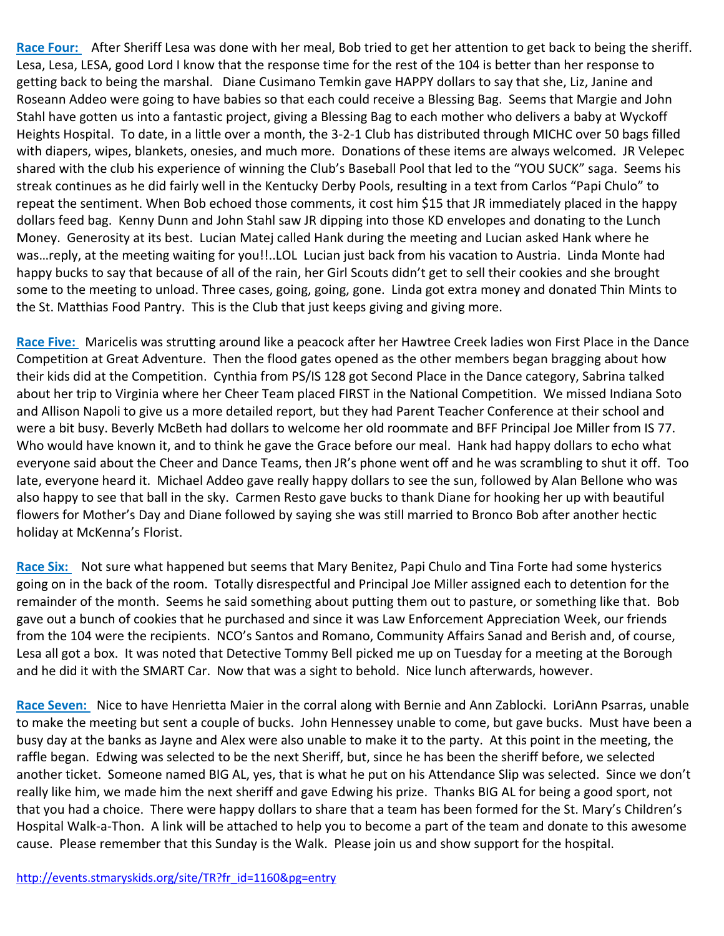**Race Four:** After Sheriff Lesa was done with her meal, Bob tried to get her attention to get back to being the sheriff. Lesa, Lesa, LESA, good Lord I know that the response time for the rest of the 104 is better than her response to getting back to being the marshal. Diane Cusimano Temkin gave HAPPY dollars to say that she, Liz, Janine and Roseann Addeo were going to have babies so that each could receive a Blessing Bag. Seems that Margie and John Stahl have gotten us into a fantastic project, giving a Blessing Bag to each mother who delivers a baby at Wyckoff Heights Hospital. To date, in a little over a month, the 3-2-1 Club has distributed through MICHC over 50 bags filled with diapers, wipes, blankets, onesies, and much more. Donations of these items are always welcomed. JR Velepec shared with the club his experience of winning the Club's Baseball Pool that led to the "YOU SUCK" saga. Seems his streak continues as he did fairly well in the Kentucky Derby Pools, resulting in a text from Carlos "Papi Chulo" to repeat the sentiment. When Bob echoed those comments, it cost him \$15 that JR immediately placed in the happy dollars feed bag. Kenny Dunn and John Stahl saw JR dipping into those KD envelopes and donating to the Lunch Money. Generosity at its best. Lucian Matej called Hank during the meeting and Lucian asked Hank where he was…reply, at the meeting waiting for you!!..LOL Lucian just back from his vacation to Austria. Linda Monte had happy bucks to say that because of all of the rain, her Girl Scouts didn't get to sell their cookies and she brought some to the meeting to unload. Three cases, going, going, gone. Linda got extra money and donated Thin Mints to the St. Matthias Food Pantry. This is the Club that just keeps giving and giving more.

**Race Five:** Maricelis was strutting around like a peacock after her Hawtree Creek ladies won First Place in the Dance Competition at Great Adventure. Then the flood gates opened as the other members began bragging about how their kids did at the Competition. Cynthia from PS/IS 128 got Second Place in the Dance category, Sabrina talked about her trip to Virginia where her Cheer Team placed FIRST in the National Competition. We missed Indiana Soto and Allison Napoli to give us a more detailed report, but they had Parent Teacher Conference at their school and were a bit busy. Beverly McBeth had dollars to welcome her old roommate and BFF Principal Joe Miller from IS 77. Who would have known it, and to think he gave the Grace before our meal. Hank had happy dollars to echo what everyone said about the Cheer and Dance Teams, then JR's phone went off and he was scrambling to shut it off. Too late, everyone heard it. Michael Addeo gave really happy dollars to see the sun, followed by Alan Bellone who was also happy to see that ball in the sky. Carmen Resto gave bucks to thank Diane for hooking her up with beautiful flowers for Mother's Day and Diane followed by saying she was still married to Bronco Bob after another hectic holiday at McKenna's Florist.

**Race Six:** Not sure what happened but seems that Mary Benitez, Papi Chulo and Tina Forte had some hysterics going on in the back of the room. Totally disrespectful and Principal Joe Miller assigned each to detention for the remainder of the month. Seems he said something about putting them out to pasture, or something like that. Bob gave out a bunch of cookies that he purchased and since it was Law Enforcement Appreciation Week, our friends from the 104 were the recipients. NCO's Santos and Romano, Community Affairs Sanad and Berish and, of course, Lesa all got a box. It was noted that Detective Tommy Bell picked me up on Tuesday for a meeting at the Borough and he did it with the SMART Car. Now that was a sight to behold. Nice lunch afterwards, however.

**Race Seven:** Nice to have Henrietta Maier in the corral along with Bernie and Ann Zablocki. LoriAnn Psarras, unable to make the meeting but sent a couple of bucks. John Hennessey unable to come, but gave bucks. Must have been a busy day at the banks as Jayne and Alex were also unable to make it to the party. At this point in the meeting, the raffle began. Edwing was selected to be the next Sheriff, but, since he has been the sheriff before, we selected another ticket. Someone named BIG AL, yes, that is what he put on his Attendance Slip was selected. Since we don't really like him, we made him the next sheriff and gave Edwing his prize. Thanks BIG AL for being a good sport, not that you had a choice. There were happy dollars to share that a team has been formed for the St. Mary's Children's Hospital Walk-a-Thon. A link will be attached to help you to become a part of the team and donate to this awesome cause. Please remember that this Sunday is the Walk. Please join us and show support for the hospital.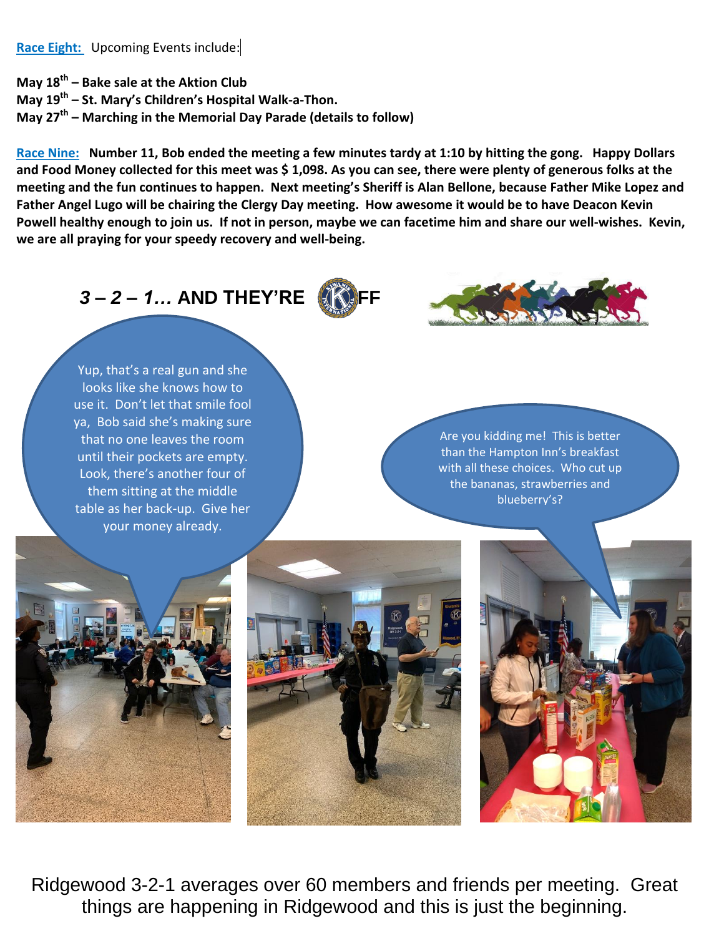**Race Eight:** Upcoming Events include:

**May 18th – Bake sale at the Aktion Club May 19th – St. Mary's Children's Hospital Walk-a-Thon. May 27th – Marching in the Memorial Day Parade (details to follow)**

**Race Nine: Number 11, Bob ended the meeting a few minutes tardy at 1:10 by hitting the gong. Happy Dollars and Food Money collected for this meet was \$ 1,098. As you can see, there were plenty of generous folks at the meeting and the fun continues to happen. Next meeting's Sheriff is Alan Bellone, because Father Mike Lopez and Father Angel Lugo will be chairing the Clergy Day meeting. How awesome it would be to have Deacon Kevin Powell healthy enough to join us. If not in person, maybe we can facetime him and share our well-wishes. Kevin, we are all praying for your speedy recovery and well-being.** 

**3-2-1... AND THEY'RE** 



Yup, that's a real gun and she looks like she knows how to use it. Don't let that smile fool ya, Bob said she's making sure that no one leaves the room until their pockets are empty. Look, there's another four of them sitting at the middle table as her back-up. Give her your money already.

Are you kidding me! This is better than the Hampton Inn's breakfast with all these choices. Who cut up the bananas, strawberries and blueberry's?







Ridgewood 3-2-1 averages over 60 members and friends per meeting. Great things are happening in Ridgewood and this is just the beginning.